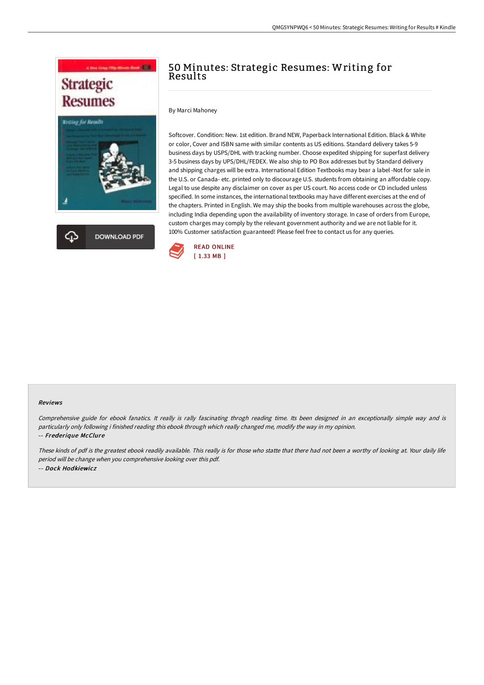



# 50 Minutes: Strategic Resumes: Writing for Results

By Marci Mahoney

Softcover. Condition: New. 1st edition. Brand NEW, Paperback International Edition. Black & White or color, Cover and ISBN same with similar contents as US editions. Standard delivery takes 5-9 business days by USPS/DHL with tracking number. Choose expedited shipping for superfast delivery 3-5 business days by UPS/DHL/FEDEX. We also ship to PO Box addresses but by Standard delivery and shipping charges will be extra. International Edition Textbooks may bear a label -Not for sale in the U.S. or Canada- etc. printed only to discourage U.S. students from obtaining an affordable copy. Legal to use despite any disclaimer on cover as per US court. No access code or CD included unless specified. In some instances, the international textbooks may have different exercises at the end of the chapters. Printed in English. We may ship the books from multiple warehouses across the globe, including India depending upon the availability of inventory storage. In case of orders from Europe, custom charges may comply by the relevant government authority and we are not liable for it. 100% Customer satisfaction guaranteed! Please feel free to contact us for any queries.



#### Reviews

Comprehensive guide for ebook fanatics. It really is rally fascinating throgh reading time. Its been designed in an exceptionally simple way and is particularly only following i finished reading this ebook through which really changed me, modify the way in my opinion. -- Frederique McClure

These kinds of pdf is the greatest ebook readily available. This really is for those who statte that there had not been <sup>a</sup> worthy of looking at. Your daily life period will be change when you comprehensive looking over this pdf. -- Dock Hodkiewicz